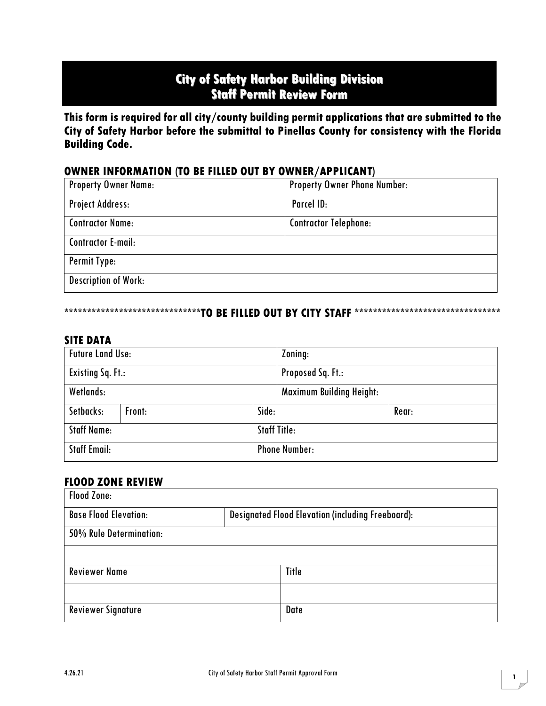# **City of Safety Harbor Building Division Staff Permit Review Form**

**This form is required for all city/county building permit applications that are submitted to the City of Safety Harbor before the submittal to Pinellas County for consistency with the Florida Building Code.** 

## **OWNER INFORMATION (TO BE FILLED OUT BY OWNER/APPLICANT)**

| <b>Property Owner Name:</b> | <b>Property Owner Phone Number:</b> |
|-----------------------------|-------------------------------------|
| <b>Project Address:</b>     | Parcel ID:                          |
| <b>Contractor Name:</b>     | <b>Contractor Telephone:</b>        |
| <b>Contractor E-mail:</b>   |                                     |
| Permit Type:                |                                     |
| <b>Description of Work:</b> |                                     |

#### **\*\*\*\*\*\*\*\*\*\*\*\*\*\*\*\*\*\*\*\*\*\*\*\*\*\*\*\*\*\*TO BE FILLED OUT BY CITY STAFF \*\*\*\*\*\*\*\*\*\*\*\*\*\*\*\*\*\*\*\*\*\*\*\*\*\*\*\*\*\*\*\***

#### **SITE DATA**

| <b>Future Land Use:</b>  |        |                          | Zoning:                         |       |
|--------------------------|--------|--------------------------|---------------------------------|-------|
| <b>Existing Sq. Ft.:</b> |        | <b>Proposed Sq. Ft.:</b> |                                 |       |
| Wetlands:                |        |                          | <b>Maximum Building Height:</b> |       |
| Setbacks:                | Front: | Side:                    |                                 | Rear: |
| <b>Staff Name:</b>       |        | <b>Staff Title:</b>      |                                 |       |
| <b>Staff Email:</b>      |        | <b>Phone Number:</b>     |                                 |       |

### **FLOOD ZONE REVIEW**

| <b>Flood Zone:</b>           |  |                                                          |  |  |  |
|------------------------------|--|----------------------------------------------------------|--|--|--|
| <b>Base Flood Elevation:</b> |  | <b>Designated Flood Elevation (including Freeboard):</b> |  |  |  |
| 50% Rule Determination:      |  |                                                          |  |  |  |
|                              |  |                                                          |  |  |  |
| <b>Reviewer Name</b>         |  | Title                                                    |  |  |  |
|                              |  |                                                          |  |  |  |
| <b>Reviewer Signature</b>    |  | Date                                                     |  |  |  |